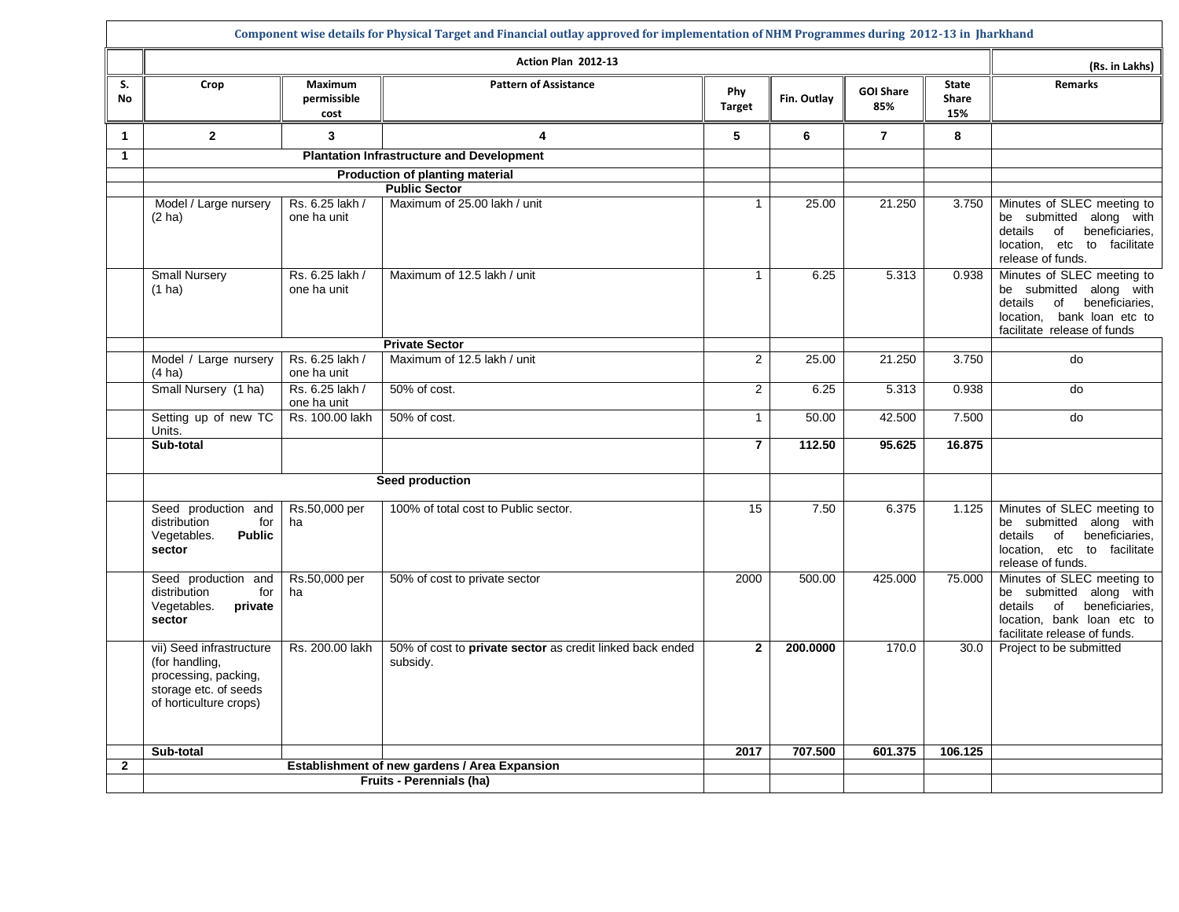|                      | Component wise details for Physical Target and Financial outlay approved for implementation of NHM Programmes during 2012-13 in Jharkhand |                                |                                                                       |                      |             |                         |                                     |                                                                                                                                                          |  |  |
|----------------------|-------------------------------------------------------------------------------------------------------------------------------------------|--------------------------------|-----------------------------------------------------------------------|----------------------|-------------|-------------------------|-------------------------------------|----------------------------------------------------------------------------------------------------------------------------------------------------------|--|--|
|                      |                                                                                                                                           |                                | Action Plan 2012-13                                                   |                      |             |                         |                                     | (Rs. in Lakhs)                                                                                                                                           |  |  |
| S.<br><b>No</b>      | Crop                                                                                                                                      | Maximum<br>permissible<br>cost | <b>Pattern of Assistance</b>                                          | Phy<br><b>Target</b> | Fin. Outlay | <b>GOI Share</b><br>85% | <b>State</b><br><b>Share</b><br>15% | <b>Remarks</b>                                                                                                                                           |  |  |
| 1                    | $\overline{2}$                                                                                                                            | 3                              | 4                                                                     | 5                    | 6           | $\overline{7}$          | 8                                   |                                                                                                                                                          |  |  |
| $\blacktriangleleft$ |                                                                                                                                           |                                | <b>Plantation Infrastructure and Development</b>                      |                      |             |                         |                                     |                                                                                                                                                          |  |  |
|                      |                                                                                                                                           |                                | Production of planting material<br><b>Public Sector</b>               |                      |             |                         |                                     |                                                                                                                                                          |  |  |
|                      | Model / Large nursery<br>$(2)$ ha)                                                                                                        | Rs. 6.25 lakh /<br>one ha unit | Maximum of 25.00 lakh / unit                                          | $\mathbf{1}$         | 25.00       | 21.250                  | 3.750                               | Minutes of SLEC meeting to<br>be submitted along with<br>details<br>beneficiaries,<br>of<br>location, etc to facilitate<br>release of funds.             |  |  |
|                      | <b>Small Nursery</b><br>$(1)$ ha)                                                                                                         | Rs. 6.25 lakh /<br>one ha unit | Maximum of 12.5 lakh / unit                                           | $\mathbf{1}$         | 6.25        | 5.313                   | 0.938                               | Minutes of SLEC meeting to<br>be submitted along with<br>details<br>beneficiaries,<br>of<br>bank loan etc to<br>location,<br>facilitate release of funds |  |  |
|                      |                                                                                                                                           |                                | <b>Private Sector</b>                                                 |                      |             |                         |                                     |                                                                                                                                                          |  |  |
|                      | Model / Large nursery<br>$(4 \text{ ha})$                                                                                                 | Rs. 6.25 lakh /<br>one ha unit | Maximum of 12.5 lakh / unit                                           | $\overline{2}$       | 25.00       | 21.250                  | 3.750                               | do                                                                                                                                                       |  |  |
|                      | Small Nursery (1 ha)                                                                                                                      | Rs. 6.25 lakh /<br>one ha unit | 50% of cost.                                                          | $\overline{2}$       | 6.25        | 5.313                   | 0.938                               | do                                                                                                                                                       |  |  |
|                      | Setting up of new TC<br>Units.                                                                                                            | Rs. 100.00 lakh                | 50% of cost.                                                          | $\mathbf{1}$         | 50.00       | 42.500                  | 7.500                               | do                                                                                                                                                       |  |  |
|                      | Sub-total                                                                                                                                 |                                |                                                                       | $\overline{7}$       | 112.50      | 95.625                  | 16.875                              |                                                                                                                                                          |  |  |
|                      |                                                                                                                                           |                                | Seed production                                                       |                      |             |                         |                                     |                                                                                                                                                          |  |  |
|                      | Seed production and<br>distribution<br>for<br>Vegetables.<br><b>Public</b><br>sector                                                      | Rs.50,000 per<br>ha            | 100% of total cost to Public sector.                                  | 15                   | 7.50        | 6.375                   | 1.125                               | Minutes of SLEC meeting to<br>be submitted along with<br>details of beneficiaries,<br>location, etc to facilitate<br>release of funds.                   |  |  |
|                      | Seed production and<br>distribution<br>for<br>Vegetables.<br>private<br>sector                                                            | Rs.50,000 per<br>ha            | 50% of cost to private sector                                         | 2000                 | 500.00      | 425.000                 | 75.000                              | Minutes of SLEC meeting to<br>be submitted along with<br>details<br>beneficiaries,<br>of<br>location, bank loan etc to<br>facilitate release of funds.   |  |  |
|                      | vii) Seed infrastructure<br>(for handling,<br>processing, packing,<br>storage etc. of seeds<br>of horticulture crops)                     | Rs. 200.00 lakh                | 50% of cost to private sector as credit linked back ended<br>subsidy. | $\overline{2}$       | 200.0000    | 170.0                   | 30.0                                | Project to be submitted                                                                                                                                  |  |  |
|                      | Sub-total                                                                                                                                 |                                |                                                                       | 2017                 | 707.500     | 601.375                 | 106.125                             |                                                                                                                                                          |  |  |
| $\mathbf 2$          |                                                                                                                                           |                                | Establishment of new gardens / Area Expansion                         |                      |             |                         |                                     |                                                                                                                                                          |  |  |
|                      |                                                                                                                                           |                                | <b>Fruits - Perennials (ha)</b>                                       |                      |             |                         |                                     |                                                                                                                                                          |  |  |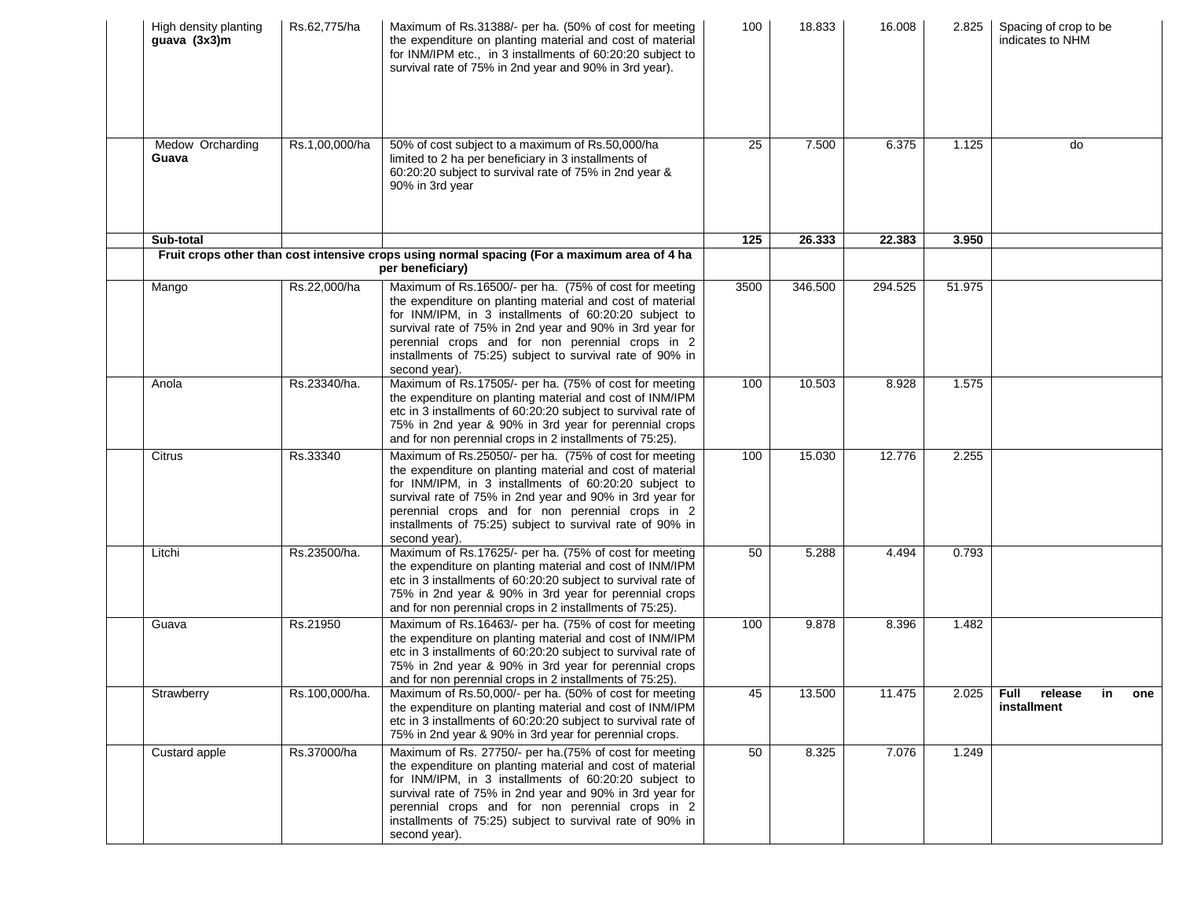| High density planting<br>guava (3x3)m | Rs.62,775/ha   | Maximum of Rs.31388/- per ha. (50% of cost for meeting<br>the expenditure on planting material and cost of material<br>for INM/IPM etc., in 3 installments of 60:20:20 subject to<br>survival rate of 75% in 2nd year and 90% in 3rd year).                                                                                                                                | 100  | 18.833  | 16.008  | 2.825  | Spacing of crop to be<br>indicates to NHM        |
|---------------------------------------|----------------|----------------------------------------------------------------------------------------------------------------------------------------------------------------------------------------------------------------------------------------------------------------------------------------------------------------------------------------------------------------------------|------|---------|---------|--------|--------------------------------------------------|
| Medow Orcharding<br>Guava             | Rs.1,00,000/ha | 50% of cost subject to a maximum of Rs.50,000/ha<br>limited to 2 ha per beneficiary in 3 installments of<br>60:20:20 subject to survival rate of 75% in 2nd year &<br>90% in 3rd year                                                                                                                                                                                      | 25   | 7.500   | 6.375   | 1.125  | do                                               |
| Sub-total                             |                |                                                                                                                                                                                                                                                                                                                                                                            | 125  | 26.333  | 22.383  | 3.950  |                                                  |
|                                       |                | Fruit crops other than cost intensive crops using normal spacing (For a maximum area of 4 ha<br>per beneficiary)                                                                                                                                                                                                                                                           |      |         |         |        |                                                  |
| Mango                                 | Rs.22,000/ha   | Maximum of Rs.16500/- per ha. (75% of cost for meeting<br>the expenditure on planting material and cost of material<br>for INM/IPM, in 3 installments of 60:20:20 subject to<br>survival rate of 75% in 2nd year and 90% in 3rd year for<br>perennial crops and for non perennial crops in 2<br>installments of 75:25) subject to survival rate of 90% in<br>second year). | 3500 | 346.500 | 294.525 | 51.975 |                                                  |
| Anola                                 | Rs.23340/ha.   | Maximum of Rs.17505/- per ha. (75% of cost for meeting<br>the expenditure on planting material and cost of INM/IPM<br>etc in 3 installments of 60:20:20 subject to survival rate of<br>75% in 2nd year & 90% in 3rd year for perennial crops<br>and for non perennial crops in 2 installments of 75:25).                                                                   | 100  | 10.503  | 8.928   | 1.575  |                                                  |
| Citrus                                | Rs.33340       | Maximum of Rs.25050/- per ha. (75% of cost for meeting<br>the expenditure on planting material and cost of material<br>for INM/IPM, in 3 installments of 60:20:20 subject to<br>survival rate of 75% in 2nd year and 90% in 3rd year for<br>perennial crops and for non perennial crops in 2<br>installments of 75:25) subject to survival rate of 90% in<br>second year). | 100  | 15.030  | 12.776  | 2.255  |                                                  |
| Litchi                                | Rs.23500/ha.   | Maximum of Rs.17625/- per ha. (75% of cost for meeting<br>the expenditure on planting material and cost of INM/IPM<br>etc in 3 installments of 60:20:20 subject to survival rate of<br>75% in 2nd year & 90% in 3rd year for perennial crops<br>and for non perennial crops in 2 installments of 75:25).                                                                   | 50   | 5.288   | 4.494   | 0.793  |                                                  |
| Guava                                 | Rs.21950       | Maximum of Rs.16463/- per ha. (75% of cost for meeting<br>the expenditure on planting material and cost of INM/IPM<br>etc in 3 installments of 60:20:20 subject to survival rate of<br>75% in 2nd year & 90% in 3rd year for perennial crops<br>and for non perennial crops in 2 installments of 75:25).                                                                   | 100  | 9.878   | 8.396   | 1.482  |                                                  |
| Strawberry                            | Rs.100,000/ha. | Maximum of Rs.50,000/- per ha. (50% of cost for meeting<br>the expenditure on planting material and cost of INM/IPM<br>etc in 3 installments of 60:20:20 subject to survival rate of<br>75% in 2nd year & 90% in 3rd year for perennial crops.                                                                                                                             | 45   | 13.500  | 11.475  |        | 2.025   Full release<br>in<br>one<br>installment |
| Custard apple                         | Rs.37000/ha    | Maximum of Rs. 27750/- per ha.(75% of cost for meeting<br>the expenditure on planting material and cost of material<br>for INM/IPM, in 3 installments of 60:20:20 subject to<br>survival rate of 75% in 2nd year and 90% in 3rd year for<br>perennial crops and for non perennial crops in 2<br>installments of 75:25) subject to survival rate of 90% in<br>second year). | 50   | 8.325   | 7.076   | 1.249  |                                                  |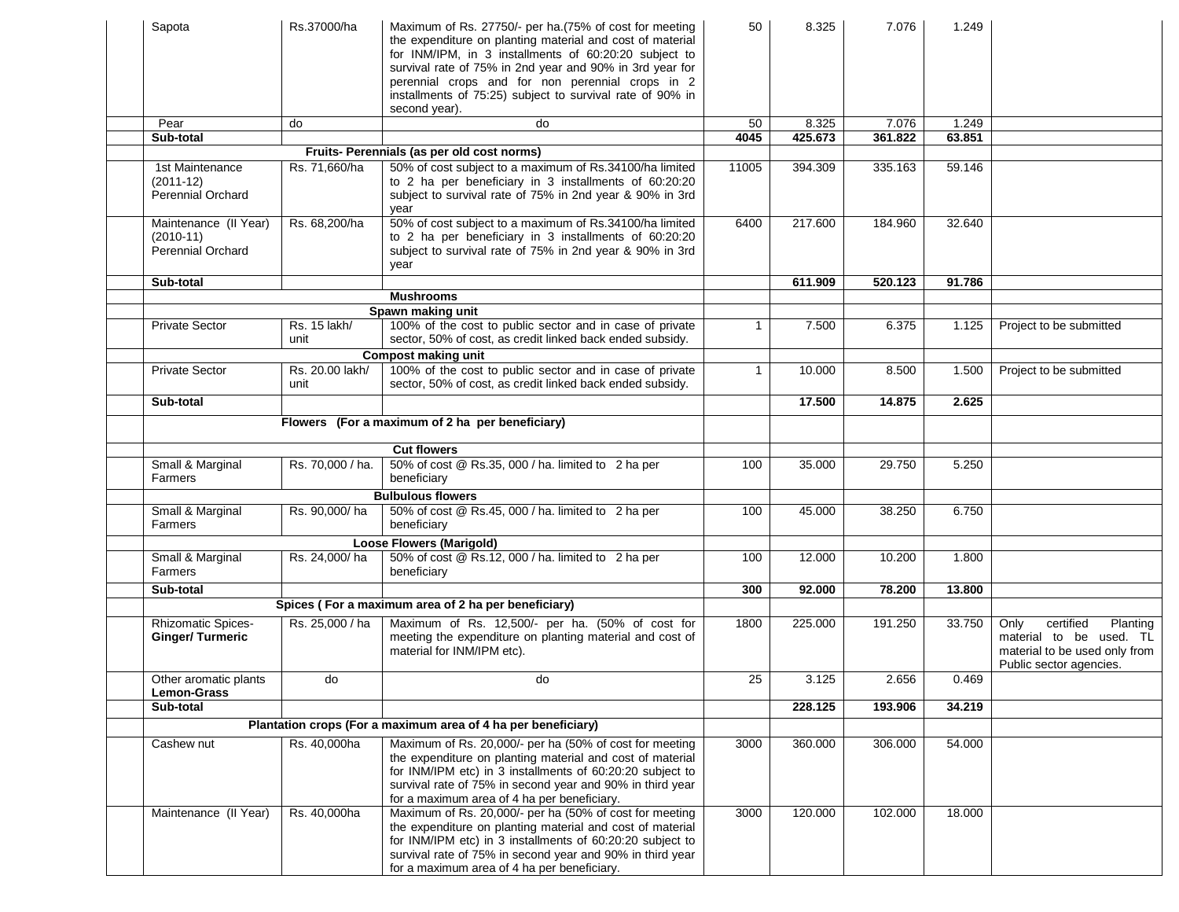| Sapota                                              | Rs.37000/ha             | Maximum of Rs. 27750/- per ha. (75% of cost for meeting<br>the expenditure on planting material and cost of material<br>for INM/IPM, in 3 installments of 60:20:20 subject to<br>survival rate of 75% in 2nd year and 90% in 3rd year for<br>perennial crops and for non perennial crops in 2<br>installments of 75:25) subject to survival rate of 90% in<br>second year). | 50           | 8.325   | 7.076   | 1.249  |                                                                                                                      |
|-----------------------------------------------------|-------------------------|-----------------------------------------------------------------------------------------------------------------------------------------------------------------------------------------------------------------------------------------------------------------------------------------------------------------------------------------------------------------------------|--------------|---------|---------|--------|----------------------------------------------------------------------------------------------------------------------|
| Pear                                                | do                      | do                                                                                                                                                                                                                                                                                                                                                                          | 50           | 8.325   | 7.076   | 1.249  |                                                                                                                      |
| Sub-total                                           |                         |                                                                                                                                                                                                                                                                                                                                                                             | 4045         | 425.673 | 361.822 | 63.851 |                                                                                                                      |
|                                                     |                         | Fruits- Perennials (as per old cost norms)                                                                                                                                                                                                                                                                                                                                  |              |         |         |        |                                                                                                                      |
| 1st Maintenance                                     | Rs. 71,660/ha           | 50% of cost subject to a maximum of Rs.34100/ha limited                                                                                                                                                                                                                                                                                                                     | 11005        | 394.309 | 335.163 | 59.146 |                                                                                                                      |
| $(2011-12)$<br><b>Perennial Orchard</b>             |                         | to 2 ha per beneficiary in 3 installments of 60:20:20<br>subject to survival rate of 75% in 2nd year & 90% in 3rd<br>year                                                                                                                                                                                                                                                   |              |         |         |        |                                                                                                                      |
| Maintenance (II Year)<br>$(2010-11)$                | Rs. 68,200/ha           | 50% of cost subject to a maximum of Rs.34100/ha limited<br>to 2 ha per beneficiary in 3 installments of 60:20:20                                                                                                                                                                                                                                                            | 6400         | 217.600 | 184.960 | 32.640 |                                                                                                                      |
| Perennial Orchard                                   |                         | subject to survival rate of 75% in 2nd year & 90% in 3rd<br>year                                                                                                                                                                                                                                                                                                            |              |         |         |        |                                                                                                                      |
| Sub-total                                           |                         |                                                                                                                                                                                                                                                                                                                                                                             |              | 611.909 | 520.123 | 91.786 |                                                                                                                      |
|                                                     |                         | <b>Mushrooms</b>                                                                                                                                                                                                                                                                                                                                                            |              |         |         |        |                                                                                                                      |
|                                                     |                         | Spawn making unit                                                                                                                                                                                                                                                                                                                                                           |              |         |         |        |                                                                                                                      |
| <b>Private Sector</b>                               | Rs. 15 lakh/<br>unit    | 100% of the cost to public sector and in case of private<br>sector, 50% of cost, as credit linked back ended subsidy.                                                                                                                                                                                                                                                       | $\mathbf 1$  | 7.500   | 6.375   | 1.125  | Project to be submitted                                                                                              |
|                                                     |                         | <b>Compost making unit</b>                                                                                                                                                                                                                                                                                                                                                  |              |         |         |        |                                                                                                                      |
| <b>Private Sector</b>                               | Rs. 20.00 lakh/<br>unit | 100% of the cost to public sector and in case of private<br>sector, 50% of cost, as credit linked back ended subsidy.                                                                                                                                                                                                                                                       | $\mathbf{1}$ | 10.000  | 8.500   | 1.500  | Project to be submitted                                                                                              |
| Sub-total                                           |                         |                                                                                                                                                                                                                                                                                                                                                                             |              | 17.500  | 14.875  | 2.625  |                                                                                                                      |
|                                                     |                         | Flowers (For a maximum of 2 ha per beneficiary)                                                                                                                                                                                                                                                                                                                             |              |         |         |        |                                                                                                                      |
|                                                     |                         | <b>Cut flowers</b>                                                                                                                                                                                                                                                                                                                                                          |              |         |         |        |                                                                                                                      |
| Small & Marginal<br>Farmers                         | Rs. 70,000 / ha.        | 50% of cost @ Rs.35, 000 / ha. limited to 2 ha per<br>beneficiary                                                                                                                                                                                                                                                                                                           | 100          | 35.000  | 29.750  | 5.250  |                                                                                                                      |
|                                                     |                         | <b>Bulbulous flowers</b>                                                                                                                                                                                                                                                                                                                                                    |              |         |         |        |                                                                                                                      |
| Small & Marginal<br>Farmers                         | Rs. 90,000/ha           | 50% of cost @ Rs.45, 000 / ha. limited to 2 ha per<br>beneficiary                                                                                                                                                                                                                                                                                                           | 100          | 45.000  | 38.250  | 6.750  |                                                                                                                      |
|                                                     |                         | <b>Loose Flowers (Marigold)</b>                                                                                                                                                                                                                                                                                                                                             |              |         |         |        |                                                                                                                      |
| Small & Marginal<br>Farmers                         | Rs. 24,000/ha           | 50% of cost @ Rs.12, 000 / ha. limited to 2 ha per<br>beneficiary                                                                                                                                                                                                                                                                                                           | 100          | 12.000  | 10.200  | 1.800  |                                                                                                                      |
| Sub-total                                           |                         |                                                                                                                                                                                                                                                                                                                                                                             | 300          | 92.000  | 78.200  | 13.800 |                                                                                                                      |
|                                                     |                         | Spices (For a maximum area of 2 ha per beneficiary)                                                                                                                                                                                                                                                                                                                         |              |         |         |        |                                                                                                                      |
| <b>Rhizomatic Spices-</b><br><b>Ginger/Turmeric</b> | Rs. 25,000 / ha         | Maximum of Rs. 12,500/- per ha. (50% of cost for<br>meeting the expenditure on planting material and cost of<br>material for INM/IPM etc).                                                                                                                                                                                                                                  | 1800         | 225.000 | 191.250 | 33.750 | Only<br>certified<br>Planting<br>material to be used. TL<br>material to be used only from<br>Public sector agencies. |
| Other aromatic plants<br>Lemon-Grass                | do                      | do                                                                                                                                                                                                                                                                                                                                                                          | 25           | 3.125   | 2.656   | 0.469  |                                                                                                                      |
| Sub-total                                           |                         |                                                                                                                                                                                                                                                                                                                                                                             |              | 228.125 | 193.906 | 34.219 |                                                                                                                      |
|                                                     |                         | Plantation crops (For a maximum area of 4 ha per beneficiary)                                                                                                                                                                                                                                                                                                               |              |         |         |        |                                                                                                                      |
| Cashew nut                                          | Rs. 40,000ha            | Maximum of Rs. 20,000/- per ha (50% of cost for meeting<br>the expenditure on planting material and cost of material<br>for INM/IPM etc) in 3 installments of 60:20:20 subject to                                                                                                                                                                                           | 3000         | 360.000 | 306.000 | 54.000 |                                                                                                                      |
|                                                     |                         | survival rate of 75% in second year and 90% in third year<br>for a maximum area of 4 ha per beneficiary.                                                                                                                                                                                                                                                                    |              |         |         |        |                                                                                                                      |
| Maintenance (II Year)                               | Rs. 40,000ha            | Maximum of Rs. 20,000/- per ha (50% of cost for meeting<br>the expenditure on planting material and cost of material<br>for INM/IPM etc) in 3 installments of 60:20:20 subject to<br>survival rate of 75% in second year and 90% in third year<br>for a maximum area of 4 ha per beneficiary.                                                                               | 3000         | 120.000 | 102.000 | 18.000 |                                                                                                                      |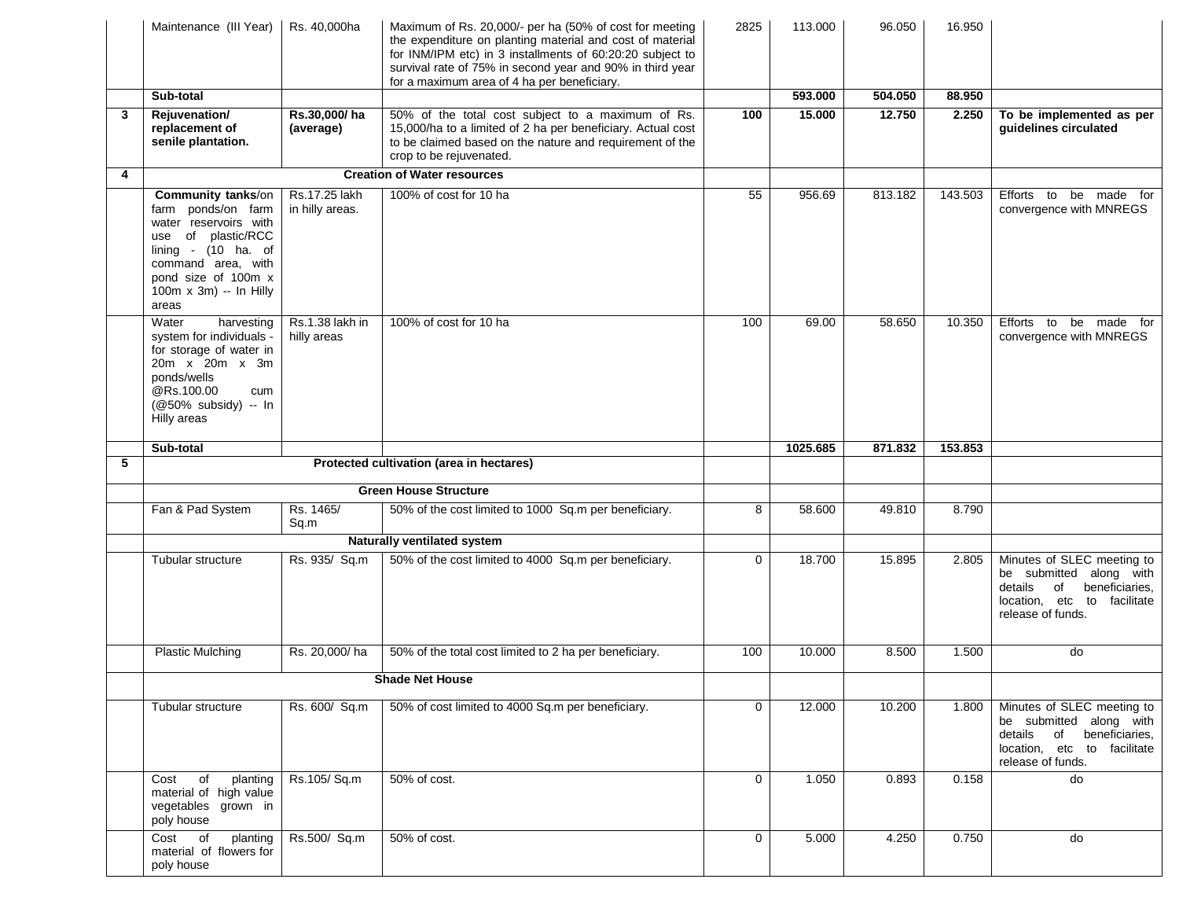|   | Maintenance (III Year)                                                                                                                                                                                  | Rs. 40,000ha                     | Maximum of Rs. 20,000/- per ha (50% of cost for meeting<br>the expenditure on planting material and cost of material<br>for INM/IPM etc) in 3 installments of 60:20:20 subject to<br>survival rate of 75% in second year and 90% in third year<br>for a maximum area of 4 ha per beneficiary. | 2825            | 113.000  | 96.050  | 16.950  |                                                                                                                                              |
|---|---------------------------------------------------------------------------------------------------------------------------------------------------------------------------------------------------------|----------------------------------|-----------------------------------------------------------------------------------------------------------------------------------------------------------------------------------------------------------------------------------------------------------------------------------------------|-----------------|----------|---------|---------|----------------------------------------------------------------------------------------------------------------------------------------------|
|   | Sub-total                                                                                                                                                                                               |                                  |                                                                                                                                                                                                                                                                                               |                 | 593.000  | 504.050 | 88.950  |                                                                                                                                              |
| 3 | Reiuvenation/<br>replacement of<br>senile plantation.                                                                                                                                                   | Rs.30.000/ha<br>(average)        | 50% of the total cost subject to a maximum of Rs.<br>15,000/ha to a limited of 2 ha per beneficiary. Actual cost<br>to be claimed based on the nature and requirement of the<br>crop to be rejuvenated.                                                                                       | 100             | 15,000   | 12.750  | 2.250   | To be implemented as per<br>guidelines circulated                                                                                            |
| 4 |                                                                                                                                                                                                         |                                  | <b>Creation of Water resources</b>                                                                                                                                                                                                                                                            |                 |          |         |         |                                                                                                                                              |
|   | <b>Community tanks/on</b><br>farm ponds/on farm<br>water reservoirs with<br>use of plastic/RCC<br>lining - $(10$ ha. of<br>command area, with<br>pond size of 100m x<br>100m x 3m) -- In Hilly<br>areas | Rs.17.25 lakh<br>in hilly areas. | 100% of cost for 10 ha                                                                                                                                                                                                                                                                        | $\overline{55}$ | 956.69   | 813.182 | 143.503 | Efforts to be made for<br>convergence with MNREGS                                                                                            |
|   | Water<br>harvesting<br>system for individuals -<br>for storage of water in<br>20m x 20m x 3m<br>ponds/wells<br>@Rs.100.00<br>cum<br>(@50% subsidy) -- In<br>Hilly areas                                 | Rs.1.38 lakh in<br>hilly areas   | 100% of cost for 10 ha                                                                                                                                                                                                                                                                        | 100             | 69.00    | 58.650  | 10.350  | Efforts to<br>be made for<br>convergence with MNREGS                                                                                         |
|   | Sub-total                                                                                                                                                                                               |                                  |                                                                                                                                                                                                                                                                                               |                 | 1025.685 | 871.832 | 153.853 |                                                                                                                                              |
| 5 |                                                                                                                                                                                                         |                                  | Protected cultivation (area in hectares)                                                                                                                                                                                                                                                      |                 |          |         |         |                                                                                                                                              |
|   |                                                                                                                                                                                                         |                                  | <b>Green House Structure</b>                                                                                                                                                                                                                                                                  |                 |          |         |         |                                                                                                                                              |
|   | Fan & Pad System                                                                                                                                                                                        | Rs. 1465/<br>Sq.m                | 50% of the cost limited to 1000 Sq.m per beneficiary.                                                                                                                                                                                                                                         | 8               | 58.600   | 49.810  | 8.790   |                                                                                                                                              |
|   |                                                                                                                                                                                                         |                                  | <b>Naturally ventilated system</b>                                                                                                                                                                                                                                                            |                 |          |         |         |                                                                                                                                              |
|   | Tubular structure                                                                                                                                                                                       | Rs. 935/ Sq.m                    | 50% of the cost limited to 4000 Sq.m per beneficiary.                                                                                                                                                                                                                                         | $\Omega$        | 18.700   | 15.895  | 2.805   | Minutes of SLEC meeting to<br>be submitted along with<br>details<br>of<br>beneficiaries,<br>location, etc to facilitate<br>release of funds. |
|   | <b>Plastic Mulching</b>                                                                                                                                                                                 | Rs. 20,000/ha                    | 50% of the total cost limited to 2 ha per beneficiary.                                                                                                                                                                                                                                        | 100             | 10.000   | 8.500   | 1.500   | do                                                                                                                                           |
|   |                                                                                                                                                                                                         |                                  | <b>Shade Net House</b>                                                                                                                                                                                                                                                                        |                 |          |         |         |                                                                                                                                              |
|   | Tubular structure                                                                                                                                                                                       | Rs. 600/ Sq.m                    | 50% of cost limited to 4000 Sq.m per beneficiary.                                                                                                                                                                                                                                             | 0               | 12.000   | 10.200  | 1.800   | Minutes of SLEC meeting to<br>be submitted along with<br>details of beneficiaries,<br>location, etc to facilitate<br>release of funds.       |
|   | of<br>planting<br>Cost<br>material of high value<br>vegetables grown in<br>poly house                                                                                                                   | Rs.105/Sq.m                      | 50% of cost.                                                                                                                                                                                                                                                                                  | $\mathbf 0$     | 1.050    | 0.893   | 0.158   | do                                                                                                                                           |
|   | planting<br>Cost of<br>material of flowers for<br>poly house                                                                                                                                            | Rs.500/ Sq.m                     | 50% of cost.                                                                                                                                                                                                                                                                                  | 0               | 5.000    | 4.250   | 0.750   | do                                                                                                                                           |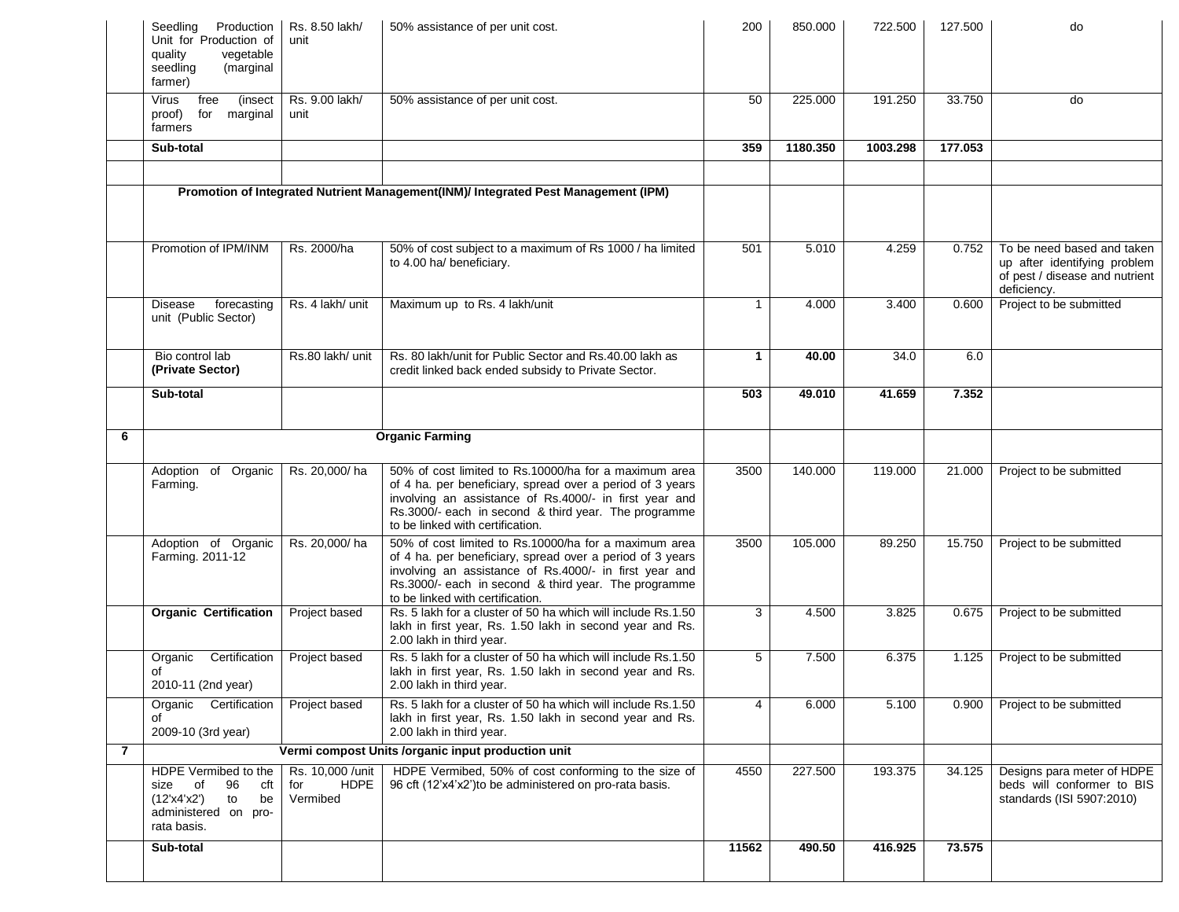|              | Production<br>Seedling<br>Unit for Production of<br>vegetable<br>quality<br>(marginal<br>seedling<br>farmer)   | Rs. 8.50 lakh/<br>unit                             | 50% assistance of per unit cost.                                                                                                                                                                                                                                         | 200          | 850.000  | 722.500  | 127.500 | do                                                                                                          |
|--------------|----------------------------------------------------------------------------------------------------------------|----------------------------------------------------|--------------------------------------------------------------------------------------------------------------------------------------------------------------------------------------------------------------------------------------------------------------------------|--------------|----------|----------|---------|-------------------------------------------------------------------------------------------------------------|
|              | free<br>(insect<br>Virus<br>proof)<br>for marginal<br>farmers                                                  | Rs. 9.00 lakh/<br>unit                             | 50% assistance of per unit cost.                                                                                                                                                                                                                                         | 50           | 225.000  | 191.250  | 33.750  | do                                                                                                          |
|              | Sub-total                                                                                                      |                                                    |                                                                                                                                                                                                                                                                          | 359          | 1180.350 | 1003.298 | 177.053 |                                                                                                             |
|              |                                                                                                                |                                                    | Promotion of Integrated Nutrient Management(INM)/ Integrated Pest Management (IPM)                                                                                                                                                                                       |              |          |          |         |                                                                                                             |
|              | Promotion of IPM/INM                                                                                           | Rs. 2000/ha                                        | 50% of cost subject to a maximum of Rs 1000 / ha limited<br>to 4.00 ha/ beneficiary.                                                                                                                                                                                     | 501          | 5.010    | 4.259    | 0.752   | To be need based and taken<br>up after identifying problem<br>of pest / disease and nutrient<br>deficiency. |
|              | forecasting<br>Disease<br>unit (Public Sector)                                                                 | Rs. 4 lakh/ unit                                   | Maximum up to Rs. 4 lakh/unit                                                                                                                                                                                                                                            | $\mathbf{1}$ | 4.000    | 3.400    | 0.600   | Project to be submitted                                                                                     |
|              | Bio control lab<br>(Private Sector)                                                                            | Rs.80 lakh/ unit                                   | Rs. 80 lakh/unit for Public Sector and Rs.40.00 lakh as<br>credit linked back ended subsidy to Private Sector.                                                                                                                                                           | $\mathbf{1}$ | 40.00    | 34.0     | 6.0     |                                                                                                             |
|              | Sub-total                                                                                                      |                                                    |                                                                                                                                                                                                                                                                          | 503          | 49.010   | 41.659   | 7.352   |                                                                                                             |
| 6            |                                                                                                                |                                                    | <b>Organic Farming</b>                                                                                                                                                                                                                                                   |              |          |          |         |                                                                                                             |
|              | Adoption of Organic<br>Farming.                                                                                | Rs. 20,000/ha                                      | 50% of cost limited to Rs.10000/ha for a maximum area<br>of 4 ha. per beneficiary, spread over a period of 3 years<br>involving an assistance of Rs.4000/- in first year and<br>Rs.3000/- each in second & third year. The programme<br>to be linked with certification. | 3500         | 140.000  | 119.000  | 21.000  | Project to be submitted                                                                                     |
|              | Adoption of Organic<br>Farming. 2011-12                                                                        | Rs. 20,000/ha                                      | 50% of cost limited to Rs.10000/ha for a maximum area<br>of 4 ha. per beneficiary, spread over a period of 3 years<br>involving an assistance of Rs.4000/- in first year and<br>Rs.3000/- each in second & third year. The programme<br>to be linked with certification. | 3500         | 105.000  | 89.250   | 15.750  | Project to be submitted                                                                                     |
|              | <b>Organic Certification</b>                                                                                   | Project based                                      | Rs. 5 lakh for a cluster of 50 ha which will include Rs.1.50<br>lakh in first year, Rs. 1.50 lakh in second year and Rs.<br>2.00 lakh in third year.                                                                                                                     | 3            | 4.500    | 3.825    | 0.675   | Project to be submitted                                                                                     |
|              | Certification<br>Organic<br>οf<br>2010-11 (2nd year)                                                           | Project based                                      | Rs. 5 lakh for a cluster of 50 ha which will include Rs.1.50<br>lakh in first year, Rs. 1.50 lakh in second year and Rs.<br>2.00 lakh in third year.                                                                                                                     | 5            | 7.500    | 6.375    | 1.125   | Project to be submitted                                                                                     |
|              | Organic Certification<br>of<br>2009-10 (3rd year)                                                              | Project based                                      | Rs. 5 lakh for a cluster of 50 ha which will include Rs.1.50<br>lakh in first year, Rs. 1.50 lakh in second year and Rs.<br>2.00 lakh in third year.                                                                                                                     | 4            | 6.000    | 5.100    | 0.900   | Project to be submitted                                                                                     |
| $\mathbf{7}$ |                                                                                                                |                                                    | Vermi compost Units /organic input production unit                                                                                                                                                                                                                       |              |          |          |         |                                                                                                             |
|              | HDPE Vermibed to the<br>size of<br>96<br>cft<br>(12'x4'x2')<br>to<br>be<br>administered on pro-<br>rata basis. | Rs. 10,000 /unit<br><b>HDPE</b><br>for<br>Vermibed | HDPE Vermibed, 50% of cost conforming to the size of<br>96 cft (12'x4'x2') to be administered on pro-rata basis.                                                                                                                                                         | 4550         | 227.500  | 193.375  | 34.125  | Designs para meter of HDPE<br>beds will conformer to BIS<br>standards (ISI 5907:2010)                       |
|              | Sub-total                                                                                                      |                                                    |                                                                                                                                                                                                                                                                          | 11562        | 490.50   | 416.925  | 73.575  |                                                                                                             |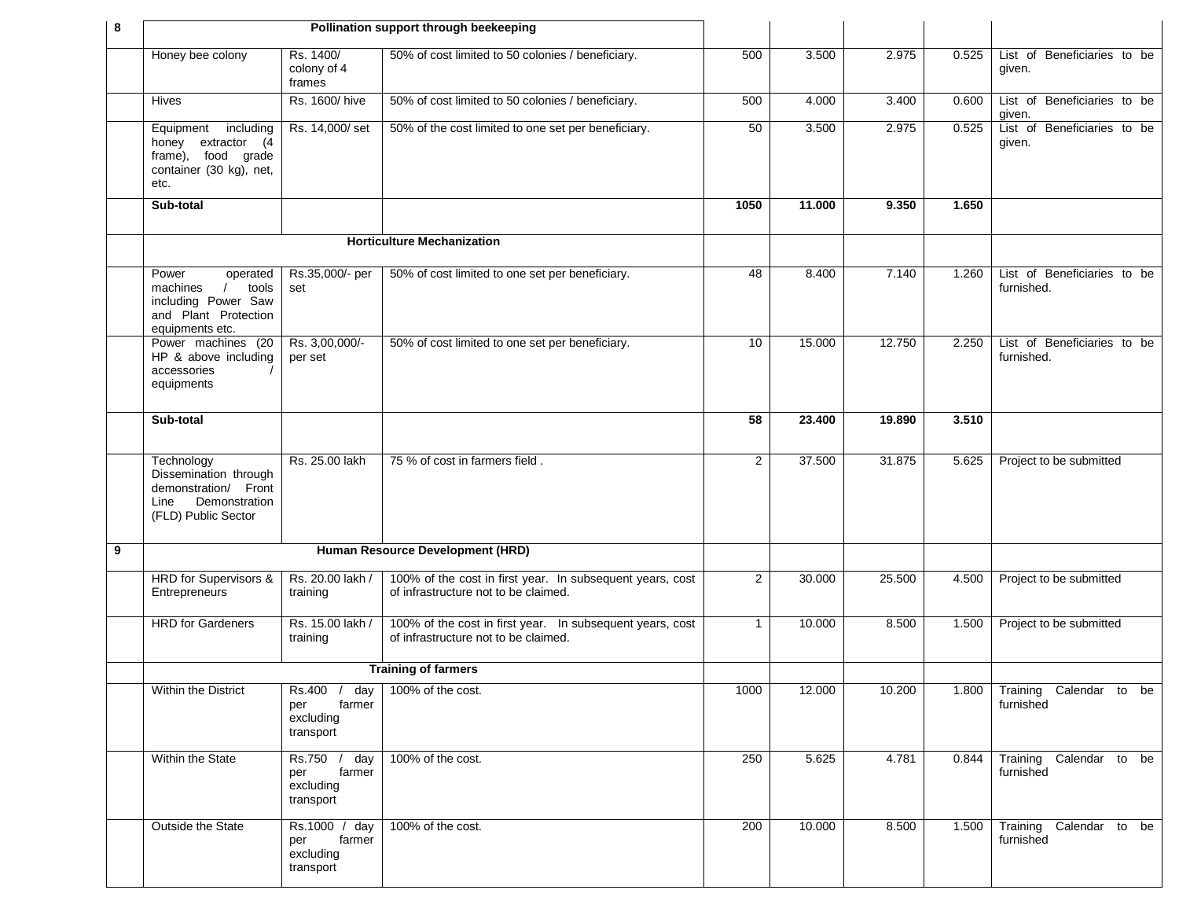| 8 |                                                                                                                      | Pollination support through beekeeping                     |                                                                                                   |                |        |        |       |                                            |
|---|----------------------------------------------------------------------------------------------------------------------|------------------------------------------------------------|---------------------------------------------------------------------------------------------------|----------------|--------|--------|-------|--------------------------------------------|
|   | Honey bee colony                                                                                                     | Rs. 1400/<br>colony of 4<br>frames                         | 50% of cost limited to 50 colonies / beneficiary.                                                 | 500            | 3.500  | 2.975  | 0.525 | List of Beneficiaries to be<br>given.      |
|   | Hives                                                                                                                | Rs. 1600/ hive                                             | 50% of cost limited to 50 colonies / beneficiary.                                                 | 500            | 4.000  | 3.400  | 0.600 | List of Beneficiaries to be<br>given.      |
|   | Equipment<br>including<br>honey extractor (4<br>frame), food grade<br>container (30 kg), net,<br>etc.                | Rs. 14,000/ set                                            | 50% of the cost limited to one set per beneficiary.                                               | 50             | 3.500  | 2.975  | 0.525 | List of Beneficiaries to be<br>given.      |
|   | Sub-total                                                                                                            |                                                            |                                                                                                   | 1050           | 11.000 | 9.350  | 1.650 |                                            |
|   |                                                                                                                      |                                                            | <b>Horticulture Mechanization</b>                                                                 |                |        |        |       |                                            |
|   | Power<br>operated<br>$\prime$<br>tools<br>machines<br>including Power Saw<br>and Plant Protection<br>equipments etc. | Rs.35,000/- per<br>set                                     | 50% of cost limited to one set per beneficiary.                                                   | 48             | 8.400  | 7.140  | 1.260 | List of Beneficiaries to be<br>furnished.  |
|   | Power machines (20<br>HP & above including<br>accessories<br>equipments                                              | Rs. 3,00,000/-<br>per set                                  | 50% of cost limited to one set per beneficiary.                                                   | 10             | 15.000 | 12.750 | 2.250 | List of Beneficiaries to be<br>furnished.  |
|   | Sub-total                                                                                                            |                                                            |                                                                                                   | 58             | 23.400 | 19.890 | 3.510 |                                            |
|   | Technology<br>Dissemination through<br>demonstration/ Front<br>Line Demonstration<br>(FLD) Public Sector             | Rs. 25.00 lakh                                             | 75 % of cost in farmers field.                                                                    | $\overline{2}$ | 37.500 | 31.875 | 5.625 | Project to be submitted                    |
| 9 |                                                                                                                      |                                                            | Human Resource Development (HRD)                                                                  |                |        |        |       |                                            |
|   | HRD for Supervisors &<br>Entrepreneurs                                                                               | Rs. 20.00 lakh /<br>training                               | 100% of the cost in first year. In subsequent years, cost<br>of infrastructure not to be claimed. | $\overline{2}$ | 30.000 | 25.500 | 4.500 | Project to be submitted                    |
|   | <b>HRD</b> for Gardeners                                                                                             | Rs. 15.00 lakh /<br>training                               | 100% of the cost in first year. In subsequent years, cost<br>of infrastructure not to be claimed. | $\mathbf{1}$   | 10.000 | 8.500  | 1.500 | Project to be submitted                    |
|   |                                                                                                                      |                                                            | <b>Training of farmers</b>                                                                        |                |        |        |       |                                            |
|   | Within the District                                                                                                  | per<br>farmer<br>excluding<br>transport                    | Rs.400 / day   100% of the cost.                                                                  | 1000           | 12.000 | 10.200 |       | 1.800 Training Calendar to be<br>furnished |
|   | Within the State                                                                                                     | Rs.750 /<br>day<br>farmer<br>per<br>excluding<br>transport | 100% of the cost.                                                                                 | 250            | 5.625  | 4.781  | 0.844 | Training Calendar to be<br>furnished       |
|   | Outside the State                                                                                                    | Rs.1000 / day<br>farmer<br>per<br>excluding<br>transport   | 100% of the cost.                                                                                 | 200            | 10.000 | 8.500  | 1.500 | Training Calendar to be<br>furnished       |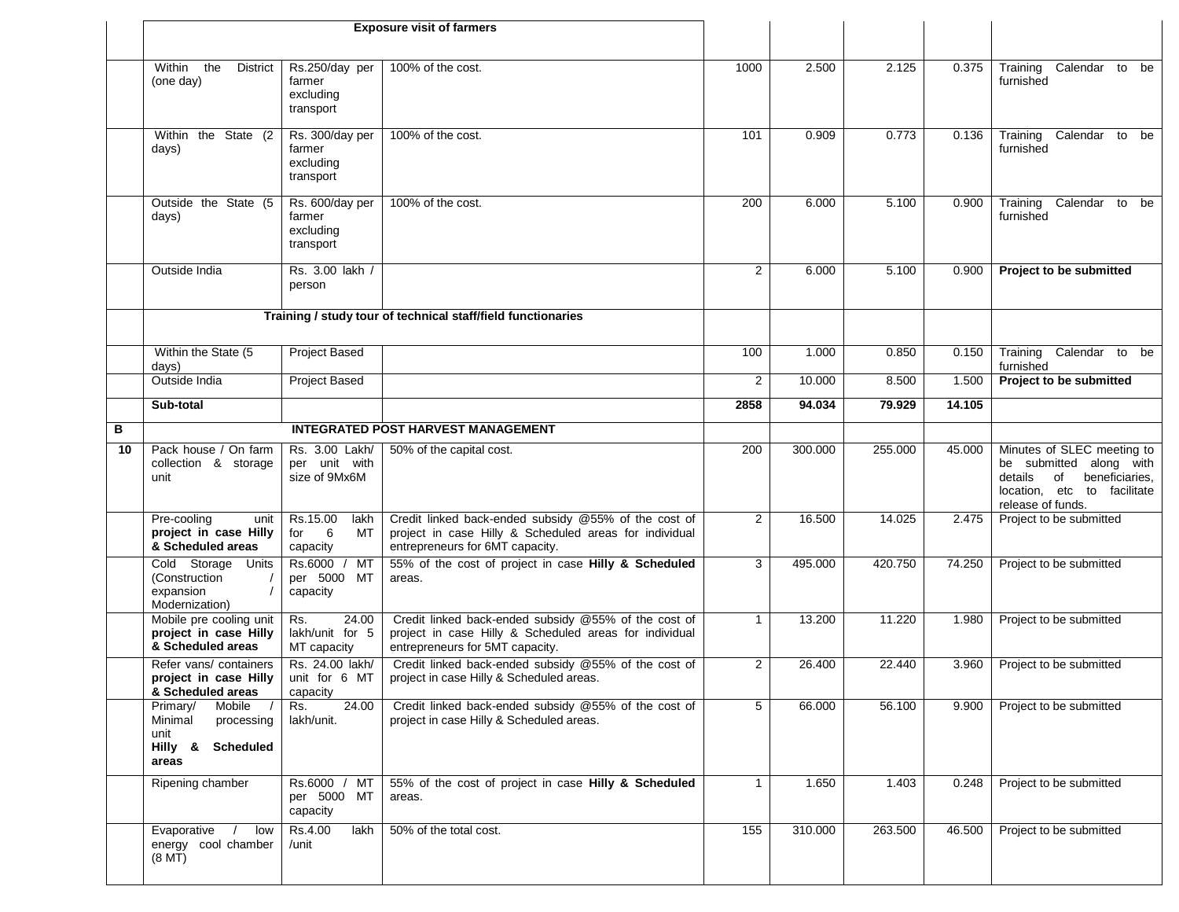|    | Within the<br><b>District</b><br>(one day)                                        | Rs.250/day per<br>farmer<br>excluding<br>transport           | 100% of the cost.                                                                                                                                 | 1000           | 2.500   | 2.125   | 0.375  | Training Calendar to be<br>furnished                                                                                                      |
|----|-----------------------------------------------------------------------------------|--------------------------------------------------------------|---------------------------------------------------------------------------------------------------------------------------------------------------|----------------|---------|---------|--------|-------------------------------------------------------------------------------------------------------------------------------------------|
|    | Within the State (2<br>days)                                                      | Rs. 300/day per<br>farmer<br>excluding<br>transport          | 100% of the cost.                                                                                                                                 | 101            | 0.909   | 0.773   | 0.136  | Calendar to be<br>Training<br>furnished                                                                                                   |
|    | Outside the State (5<br>days)                                                     | Rs. 600/day per<br>farmer<br>excluding<br>transport          | 100% of the cost.                                                                                                                                 | 200            | 6.000   | 5.100   | 0.900  | Training<br>Calendar to be<br>furnished                                                                                                   |
|    | Outside India                                                                     | Rs. 3.00 lakh /<br>person                                    |                                                                                                                                                   | $\overline{2}$ | 6.000   | 5.100   | 0.900  | Project to be submitted                                                                                                                   |
|    |                                                                                   |                                                              | Training / study tour of technical staff/field functionaries                                                                                      |                |         |         |        |                                                                                                                                           |
|    | Within the State (5<br>days)                                                      | Project Based                                                |                                                                                                                                                   | 100            | 1.000   | 0.850   | 0.150  | Training Calendar to be<br>furnished                                                                                                      |
|    | Outside India                                                                     | Project Based                                                |                                                                                                                                                   | $\overline{2}$ | 10.000  | 8.500   | 1.500  | Project to be submitted                                                                                                                   |
|    | Sub-total                                                                         |                                                              |                                                                                                                                                   | 2858           | 94.034  | 79.929  | 14.105 |                                                                                                                                           |
| в  |                                                                                   |                                                              | <b>INTEGRATED POST HARVEST MANAGEMENT</b>                                                                                                         |                |         |         |        |                                                                                                                                           |
| 10 | Pack house / On farm<br>collection & storage<br>unit                              | Rs. 3.00 Lakh/<br>per unit with<br>size of 9Mx6M             | 50% of the capital cost.                                                                                                                          | 200            | 300.000 | 255.000 | 45.000 | Minutes of SLEC meeting to<br>be submitted along with<br>details<br>of beneficiaries,<br>location, etc to facilitate<br>release of funds. |
|    | Pre-cooling<br>unit<br>project in case Hilly<br>& Scheduled areas                 | Rs.15.00<br>lakh<br>$6\overline{6}$<br>MT<br>for<br>capacity | Credit linked back-ended subsidy @55% of the cost of<br>project in case Hilly & Scheduled areas for individual<br>entrepreneurs for 6MT capacity. | $\overline{2}$ | 16.500  | 14.025  | 2.475  | Project to be submitted                                                                                                                   |
|    | Cold Storage<br>Units<br>(Construction<br>expansion<br>Modernization)             | Rs.6000 /<br>МT<br>per 5000 MT<br>capacity                   | 55% of the cost of project in case Hilly & Scheduled<br>areas.                                                                                    | 3              | 495.000 | 420.750 | 74.250 | Project to be submitted                                                                                                                   |
|    | Mobile pre cooling unit<br>project in case Hilly<br>& Scheduled areas             | 24.00<br>Rs.<br>lakh/unit for 5<br>MT capacity               | Credit linked back-ended subsidy @55% of the cost of<br>project in case Hilly & Scheduled areas for individual<br>entrepreneurs for 5MT capacity. | $\mathbf 1$    | 13.200  | 11.220  | 1.980  | Project to be submitted                                                                                                                   |
|    | Refer vans/ containers<br>project in case Hilly<br>& Scheduled areas              | Rs. 24.00 lakh/<br>unit for 6 MT<br>capacity                 | Credit linked back-ended subsidy @55% of the cost of<br>project in case Hilly & Scheduled areas.                                                  | $\overline{2}$ | 26.400  | 22.440  | 3.960  | Project to be submitted                                                                                                                   |
|    | Primary/<br>Mobile<br>Minimal<br>processing<br>unit<br>Hilly & Scheduled<br>areas | 24.00<br>Rs.<br>lakh/unit.                                   | Credit linked back-ended subsidy @55% of the cost of<br>project in case Hilly & Scheduled areas.                                                  | 5              | 66.000  | 56.100  | 9.900  | Project to be submitted                                                                                                                   |
|    | Ripening chamber                                                                  | Rs.6000 / MT<br>per 5000 MT<br>capacity                      | 55% of the cost of project in case Hilly & Scheduled<br>areas.                                                                                    | $\mathbf{1}$   | 1.650   | 1.403   | 0.248  | Project to be submitted                                                                                                                   |
|    | Evaporative<br>low<br>energy cool chamber<br>(8 <sub>M</sub> T)                   | Rs.4.00<br>lakh<br>/unit                                     | 50% of the total cost.                                                                                                                            | 155            | 310.000 | 263.500 | 46.500 | Project to be submitted                                                                                                                   |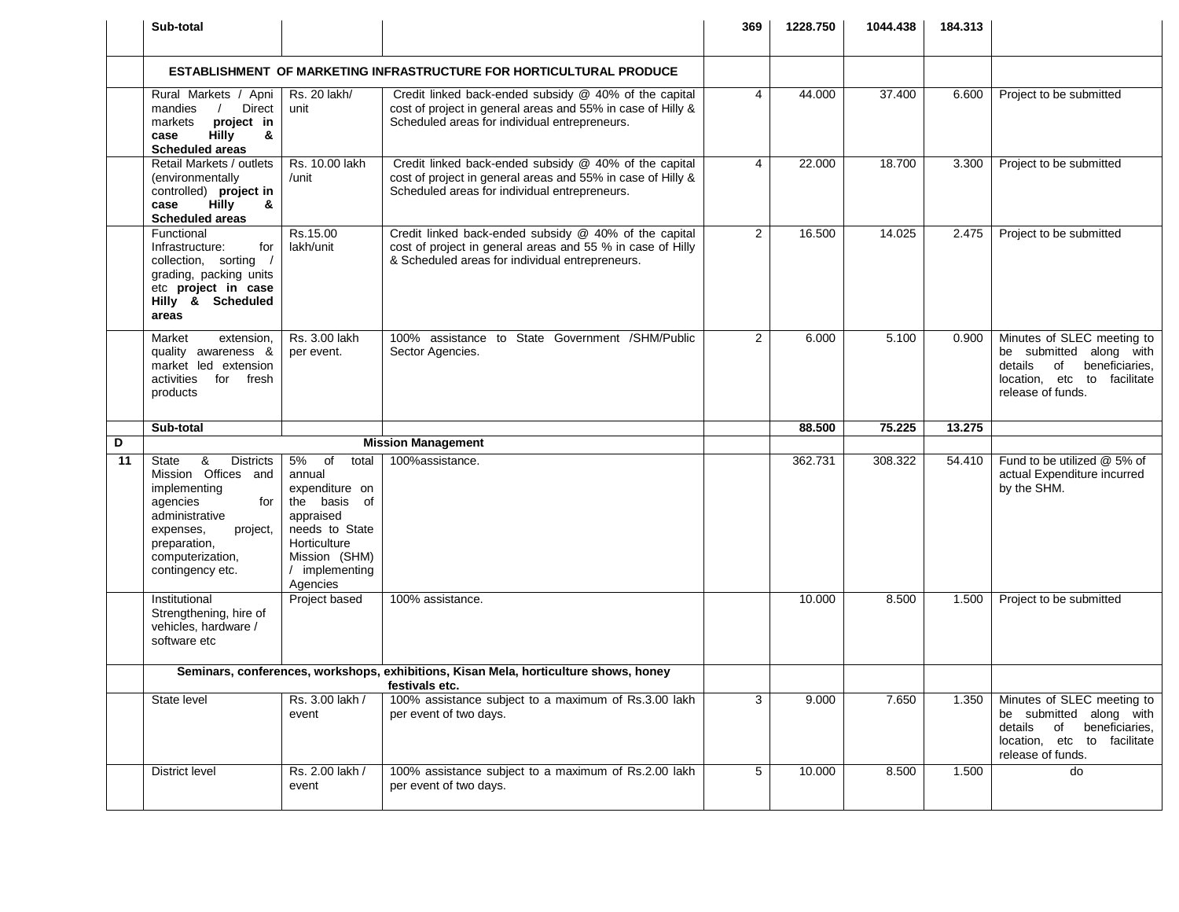|    | Sub-total                                                                                                                                                                                   |                                                                                                                                                             |                                                                                                                                                                        | 369            | 1228.750 | 1044.438 | 184.313 |                                                                                                                                              |
|----|---------------------------------------------------------------------------------------------------------------------------------------------------------------------------------------------|-------------------------------------------------------------------------------------------------------------------------------------------------------------|------------------------------------------------------------------------------------------------------------------------------------------------------------------------|----------------|----------|----------|---------|----------------------------------------------------------------------------------------------------------------------------------------------|
|    |                                                                                                                                                                                             |                                                                                                                                                             | <b>ESTABLISHMENT OF MARKETING INFRASTRUCTURE FOR HORTICULTURAL PRODUCE</b>                                                                                             |                |          |          |         |                                                                                                                                              |
|    | Rural Markets / Apni<br>Direct<br>mandies<br>project in<br>markets<br><b>Hilly</b><br>&<br>case<br><b>Scheduled areas</b>                                                                   | Rs. 20 lakh/<br>unit                                                                                                                                        | Credit linked back-ended subsidy @ 40% of the capital<br>cost of project in general areas and 55% in case of Hilly &<br>Scheduled areas for individual entrepreneurs.  | $\overline{4}$ | 44.000   | 37.400   | 6.600   | Project to be submitted                                                                                                                      |
|    | Retail Markets / outlets<br>(environmentally<br>controlled) project in<br><b>Hilly</b><br>&<br>case<br><b>Scheduled areas</b>                                                               | Rs. 10.00 lakh<br>/unit                                                                                                                                     | Credit linked back-ended subsidy @ 40% of the capital<br>cost of project in general areas and 55% in case of Hilly &<br>Scheduled areas for individual entrepreneurs.  | 4              | 22.000   | 18.700   | 3.300   | Project to be submitted                                                                                                                      |
|    | Functional<br>Infrastructure:<br>for<br>collection, sorting<br>grading, packing units<br>etc project in case<br>Hilly & Scheduled<br>areas                                                  | Rs.15.00<br>lakh/unit                                                                                                                                       | Credit linked back-ended subsidy @ 40% of the capital<br>cost of project in general areas and 55 % in case of Hilly<br>& Scheduled areas for individual entrepreneurs. | $\overline{2}$ | 16.500   | 14.025   | 2.475   | Project to be submitted                                                                                                                      |
|    | extension,<br>Market<br>quality awareness &<br>market led extension<br>for fresh<br>activities<br>products                                                                                  | Rs. 3.00 lakh<br>per event.                                                                                                                                 | 100% assistance to State Government /SHM/Public<br>Sector Agencies.                                                                                                    | $\overline{2}$ | 6.000    | 5.100    | 0.900   | Minutes of SLEC meeting to<br>be submitted along with<br>details<br>beneficiaries,<br>of<br>location, etc to facilitate<br>release of funds. |
|    |                                                                                                                                                                                             |                                                                                                                                                             |                                                                                                                                                                        |                |          |          |         |                                                                                                                                              |
|    | Sub-total                                                                                                                                                                                   |                                                                                                                                                             |                                                                                                                                                                        |                | 88.500   | 75.225   | 13.275  |                                                                                                                                              |
| D  |                                                                                                                                                                                             |                                                                                                                                                             | <b>Mission Management</b>                                                                                                                                              |                |          |          |         |                                                                                                                                              |
| 11 | &<br><b>Districts</b><br>State<br>Mission Offices and<br>implementing<br>for<br>agencies<br>administrative<br>project,<br>expenses.<br>preparation,<br>computerization,<br>contingency etc. | 5%<br>of<br>total<br>annual<br>expenditure on<br>the basis of<br>appraised<br>needs to State<br>Horticulture<br>Mission (SHM)<br>/ implementing<br>Agencies | 100%assistance.                                                                                                                                                        |                | 362.731  | 308.322  | 54.410  | Fund to be utilized @ 5% of<br>actual Expenditure incurred<br>by the SHM.                                                                    |
|    | Institutional<br>Strengthening, hire of<br>vehicles, hardware /<br>software etc                                                                                                             | Project based                                                                                                                                               | 100% assistance.                                                                                                                                                       |                | 10.000   | 8.500    | 1.500   | Project to be submitted                                                                                                                      |
|    |                                                                                                                                                                                             | <b>Exercise Set Exercise Set Exercise Set C.</b>                                                                                                            | Seminars, conferences, workshops, exhibitions, Kisan Mela, horticulture shows, honey                                                                                   |                |          |          |         |                                                                                                                                              |
|    | State level                                                                                                                                                                                 | Rs. 3.00 lakh /<br>event                                                                                                                                    | 100% assistance subject to a maximum of Rs.3.00 lakh<br>per event of two days.                                                                                         | 3              | 9.000    | 7.650    | 1.350   | Minutes of SLEC meeting to<br>be submitted along with<br>beneficiaries,<br>details<br>of<br>location, etc to facilitate<br>release of funds. |